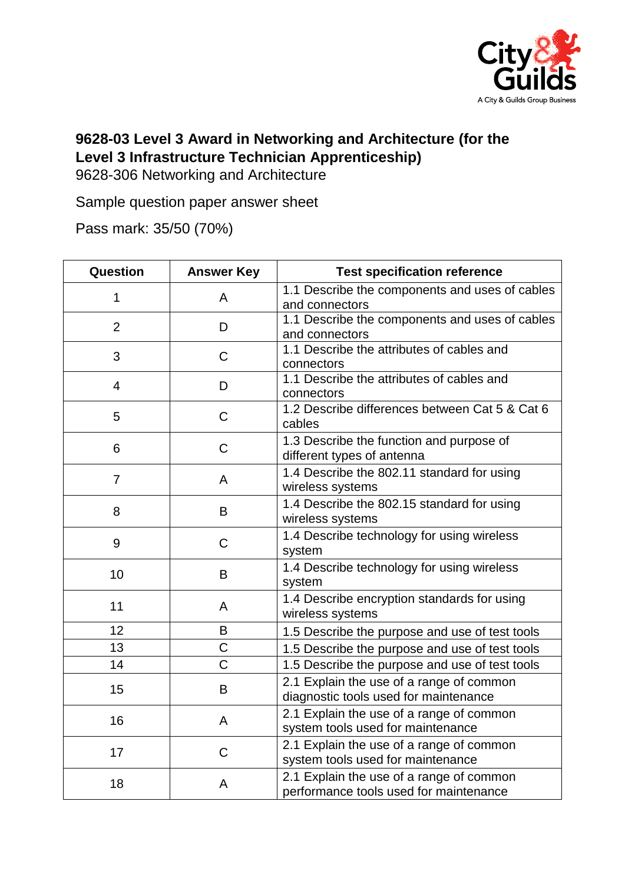

## **9628-03 Level 3 Award in Networking and Architecture (for the Level 3 Infrastructure Technician Apprenticeship)**

9628-306 Networking and Architecture

Sample question paper answer sheet

Pass mark: 35/50 (70%)

| Question       | <b>Answer Key</b> | <b>Test specification reference</b>                                                |
|----------------|-------------------|------------------------------------------------------------------------------------|
| 1              | A                 | 1.1 Describe the components and uses of cables<br>and connectors                   |
| $\overline{2}$ | D                 | 1.1 Describe the components and uses of cables<br>and connectors                   |
| 3              | $\mathsf{C}$      | 1.1 Describe the attributes of cables and<br>connectors                            |
| 4              | D                 | 1.1 Describe the attributes of cables and<br>connectors                            |
| 5              | C                 | 1.2 Describe differences between Cat 5 & Cat 6<br>cables                           |
| 6              | C                 | 1.3 Describe the function and purpose of<br>different types of antenna             |
| $\overline{7}$ | A                 | 1.4 Describe the 802.11 standard for using<br>wireless systems                     |
| 8              | B                 | 1.4 Describe the 802.15 standard for using<br>wireless systems                     |
| 9              | C                 | 1.4 Describe technology for using wireless<br>system                               |
| 10             | B                 | 1.4 Describe technology for using wireless<br>system                               |
| 11             | A                 | 1.4 Describe encryption standards for using<br>wireless systems                    |
| 12             | B                 | 1.5 Describe the purpose and use of test tools                                     |
| 13             | C                 | 1.5 Describe the purpose and use of test tools                                     |
| 14             | $\overline{C}$    | 1.5 Describe the purpose and use of test tools                                     |
| 15             | B                 | 2.1 Explain the use of a range of common<br>diagnostic tools used for maintenance  |
| 16             | A                 | 2.1 Explain the use of a range of common<br>system tools used for maintenance      |
| 17             | $\mathsf{C}$      | 2.1 Explain the use of a range of common<br>system tools used for maintenance      |
| 18             | Α                 | 2.1 Explain the use of a range of common<br>performance tools used for maintenance |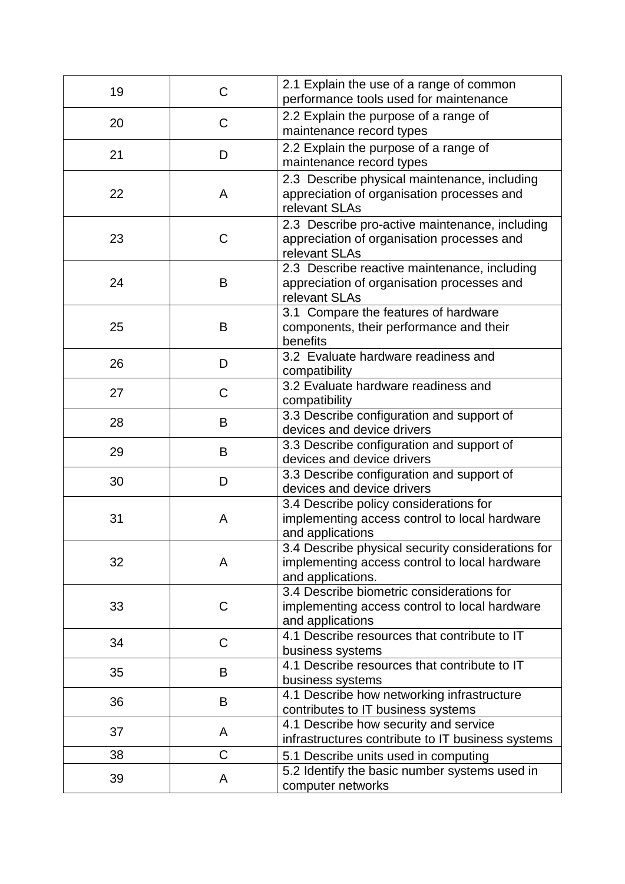| 19 | C | 2.1 Explain the use of a range of common<br>performance tools used for maintenance                                      |
|----|---|-------------------------------------------------------------------------------------------------------------------------|
| 20 | C | 2.2 Explain the purpose of a range of<br>maintenance record types                                                       |
| 21 | D | 2.2 Explain the purpose of a range of<br>maintenance record types                                                       |
| 22 | A | 2.3 Describe physical maintenance, including<br>appreciation of organisation processes and<br>relevant SLAs             |
| 23 | C | 2.3 Describe pro-active maintenance, including<br>appreciation of organisation processes and<br>relevant SLAs           |
| 24 | B | 2.3 Describe reactive maintenance, including<br>appreciation of organisation processes and<br>relevant SLAs             |
| 25 | B | 3.1 Compare the features of hardware<br>components, their performance and their<br>benefits                             |
| 26 | D | 3.2 Evaluate hardware readiness and<br>compatibility                                                                    |
| 27 | C | 3.2 Evaluate hardware readiness and<br>compatibility                                                                    |
| 28 | B | 3.3 Describe configuration and support of<br>devices and device drivers                                                 |
| 29 | B | 3.3 Describe configuration and support of<br>devices and device drivers                                                 |
| 30 | D | 3.3 Describe configuration and support of<br>devices and device drivers                                                 |
| 31 | A | 3.4 Describe policy considerations for<br>implementing access control to local hardware<br>and applications             |
| 32 | A | 3.4 Describe physical security considerations for<br>implementing access control to local hardware<br>and applications. |
| 33 | C | 3.4 Describe biometric considerations for<br>implementing access control to local hardware<br>and applications          |
| 34 | C | 4.1 Describe resources that contribute to IT<br>business systems                                                        |
| 35 | B | 4.1 Describe resources that contribute to IT<br>business systems                                                        |
| 36 | B | 4.1 Describe how networking infrastructure<br>contributes to IT business systems                                        |
| 37 | A | 4.1 Describe how security and service<br>infrastructures contribute to IT business systems                              |
| 38 | C | 5.1 Describe units used in computing                                                                                    |
| 39 | A | 5.2 Identify the basic number systems used in<br>computer networks                                                      |